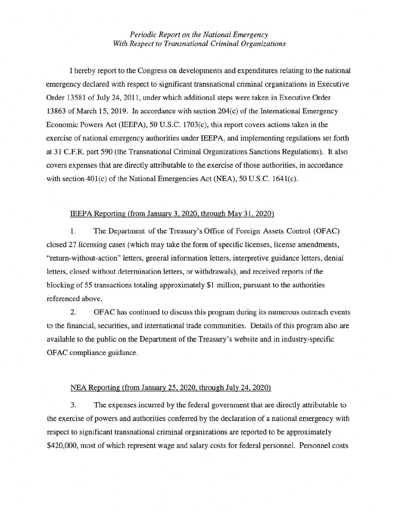## *Periodic Report on the National Emergency With Respect to Transnational Criminal Organizations*

I hereby report to the Congress on developments and expenditures relating to the national emergency declared with respect to significant transnational criminal organizations in Executive Order 13581 of July 24, 2011, under which additional steps were taken in Executive Order 13863 of March 15, 2019. In accordance with section 204(c) of the International Emergency Economic Powers Act (IEEPA), 50 U.S.C. 1703(c), this report covers actions taken in the exercise of national emergency authorities under IEEP A, and implementing regulations set forth at 31 C.F.R. part 590 (the Transnational Criminal Organizations Sanctions Regulations). It also covers expenses that are directly attributable to the exercise of those authorities, in accordance with section  $401(c)$  of the National Emergencies Act (NEA), 50 U.S.C. 1641(c).

## IEEPA Reporting (from January 3, 2020, through May 31, 2020)

l. The Department of the Treasury's Office of Foreign Assets Control (OFAC) closed 27 licensing cases (which may take the form of specific licenses, license amendments, "return-without-action" letters, general information letters, interpretive guidance letters, denial letters, closed without determination letters, or withdrawals), and received reports of the blocking of 55 transactions totaling approximately \$1 million, pursuant to the authorities referenced above.

2. OFAC has continued to discuss this program during its numerous outreach events to the financial, securities, and international trade communities. Details of this program also are available to the public on the Department of the Treasury's website and in industry-specific OFAC compliance guidance.

## NEA Reporting (from January 25. 2020. through July 24. 2020)

3. The expenses incurred by the federal government that are directly attributable to the exercise of powers and authorities conferred by the declaration of a national emergency with respect to significant transnational criminal organizations are reported to be approximately \$420,000, most of which represent wage and salary costs for federal personnel. Personnel costs